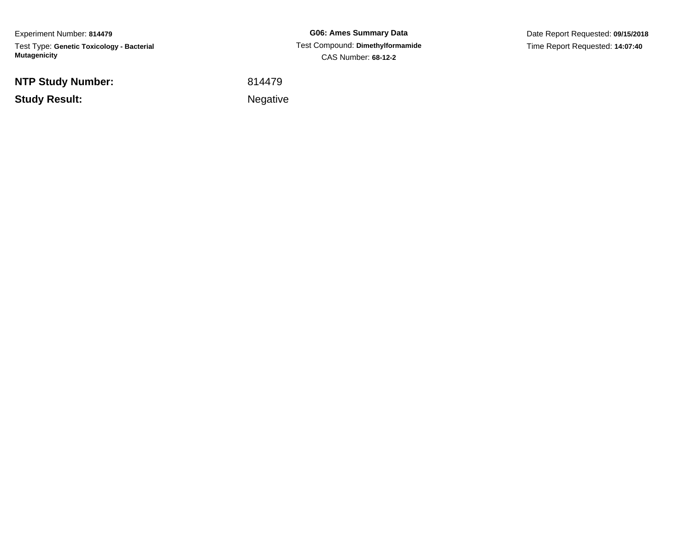Experiment Number: **814479**Test Type: **Genetic Toxicology - Bacterial Mutagenicity**

**NTP Study Number:**

**Study Result:**

**G06: Ames Summary Data** Test Compound: **Dimethylformamide**CAS Number: **68-12-2**

Date Report Requested: **09/15/2018**Time Report Requested: **14:07:40**

<sup>814479</sup>

Negative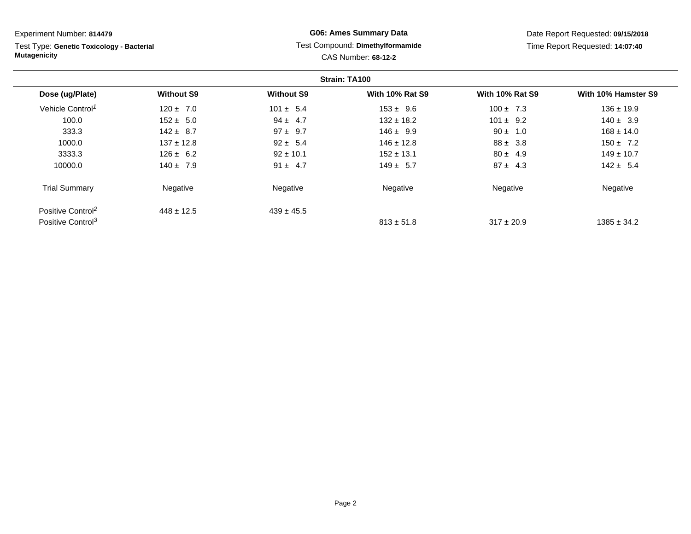Test Type: **Genetic Toxicology - Bacterial Mutagenicity**

# **G06: Ames Summary Data** Test Compound: **Dimethylformamide**CAS Number: **68-12-2**

Date Report Requested: **09/15/2018**Time Report Requested: **14:07:40**

|                               |                   |                   | Strain: TA100          |                        |                     |
|-------------------------------|-------------------|-------------------|------------------------|------------------------|---------------------|
| Dose (ug/Plate)               | <b>Without S9</b> | <b>Without S9</b> | <b>With 10% Rat S9</b> | <b>With 10% Rat S9</b> | With 10% Hamster S9 |
| Vehicle Control <sup>1</sup>  | $120 \pm 7.0$     | $101 \pm 5.4$     | $153 \pm 9.6$          | $100 \pm 7.3$          | $136 \pm 19.9$      |
| 100.0                         | $152 \pm 5.0$     | $94 \pm 4.7$      | $132 \pm 18.2$         | $101 \pm 9.2$          | $140 \pm 3.9$       |
| 333.3                         | $142 \pm 8.7$     | $97 \pm 9.7$      | $146 \pm 9.9$          | $90 \pm 1.0$           | $168 \pm 14.0$      |
| 1000.0                        | $137 \pm 12.8$    | $92 \pm 5.4$      | $146 \pm 12.8$         | $88 \pm 3.8$           | $150 \pm 7.2$       |
| 3333.3                        | $126 \pm 6.2$     | $92 \pm 10.1$     | $152 \pm 13.1$         | $80 \pm 4.9$           | $149 \pm 10.7$      |
| 10000.0                       | $140 \pm 7.9$     | $91 \pm 4.7$      | $149 \pm 5.7$          | $87 \pm 4.3$           | $142 \pm 5.4$       |
| <b>Trial Summary</b>          | Negative          | Negative          | Negative               | Negative               | Negative            |
| Positive Control <sup>2</sup> | $448 \pm 12.5$    | $439 \pm 45.5$    |                        |                        |                     |
| Positive Control <sup>3</sup> |                   |                   | $813 \pm 51.8$         | $317 \pm 20.9$         | $1385 \pm 34.2$     |

Page 2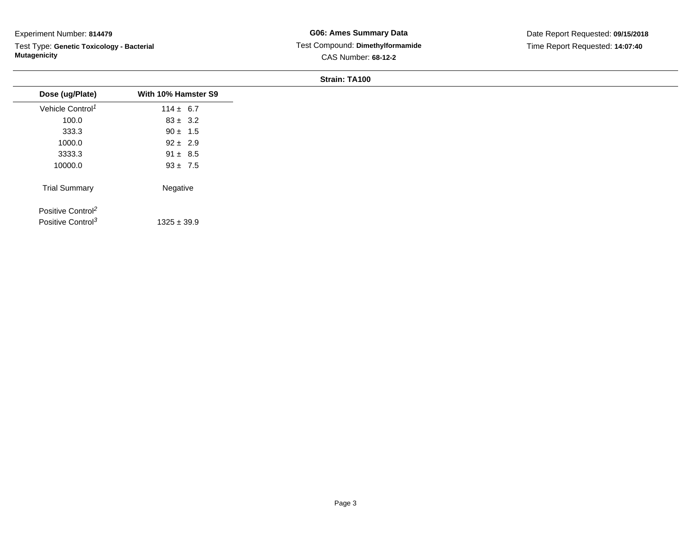Test Type: **Genetic Toxicology - Bacterial Mutagenicity**

| Dose (ug/Plate)               | With 10% Hamster S9 |
|-------------------------------|---------------------|
| Vehicle Control <sup>1</sup>  | $114 \pm 6.7$       |
| 100.0                         | $83 \pm 3.2$        |
| 333.3                         | $90 \pm 1.5$        |
| 1000.0                        | $92 \pm 2.9$        |
| 3333.3                        | $91 \pm 8.5$        |
| 10000.0                       | $93 \pm 7.5$        |
| <b>Trial Summary</b>          | Negative            |
| Positive Control <sup>2</sup> |                     |
| Positive Control <sup>3</sup> | $1325 \pm 39.9$     |
|                               |                     |
|                               |                     |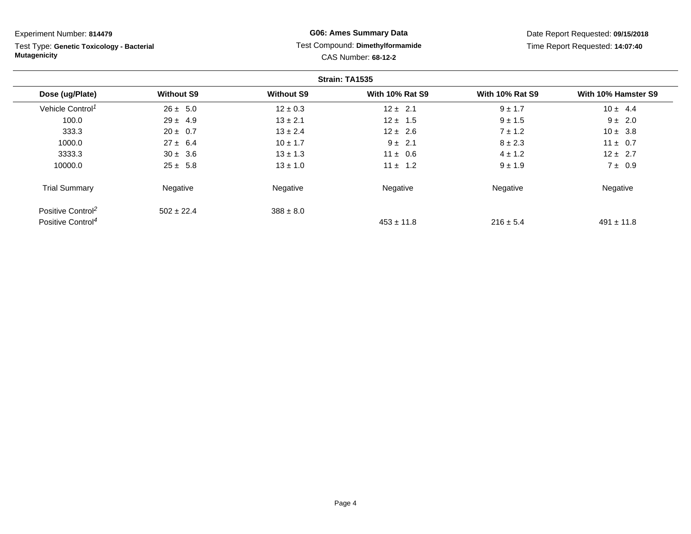Experiment Number: **814479** Test Type: **Genetic Toxicology - Bacterial MutagenicityG06: Ames Summary Data**CAS Number: **68-12-2**

Date Report Requested: **09/15/2018**Time Report Requested: **14:07:40**

# Test Compound: **Dimethylformamide**

|                               |                   |                   | Strain: TA1535         |                        |                     |
|-------------------------------|-------------------|-------------------|------------------------|------------------------|---------------------|
| Dose (ug/Plate)               | <b>Without S9</b> | <b>Without S9</b> | <b>With 10% Rat S9</b> | <b>With 10% Rat S9</b> | With 10% Hamster S9 |
| Vehicle Control <sup>1</sup>  | $26 \pm 5.0$      | $12 \pm 0.3$      | $12 \pm 2.1$           | $9 \pm 1.7$            | $10 \pm 4.4$        |
| 100.0                         | $29 \pm 4.9$      | $13 \pm 2.1$      | $12 \pm 1.5$           | $9 \pm 1.5$            | $9 \pm 2.0$         |
| 333.3                         | $20 \pm 0.7$      | $13 \pm 2.4$      | $12 \pm 2.6$           | $7 \pm 1.2$            | $10 \pm 3.8$        |
| 1000.0                        | $27 \pm 6.4$      | $10 \pm 1.7$      | $9 \pm 2.1$            | $8 \pm 2.3$            | $11 \pm 0.7$        |
| 3333.3                        | $30 \pm 3.6$      | $13 \pm 1.3$      | $11 \pm 0.6$           | $4 \pm 1.2$            | $12 \pm 2.7$        |
| 10000.0                       | $25 \pm 5.8$      | $13 \pm 1.0$      | $11 \pm 1.2$           | $9 \pm 1.9$            | $7 \pm 0.9$         |
| <b>Trial Summary</b>          | Negative          | Negative          | Negative               | Negative               | Negative            |
| Positive Control <sup>2</sup> | $502 \pm 22.4$    | $388 \pm 8.0$     |                        |                        |                     |
| Positive Control <sup>4</sup> |                   |                   | $453 \pm 11.8$         | $216 \pm 5.4$          | $491 \pm 11.8$      |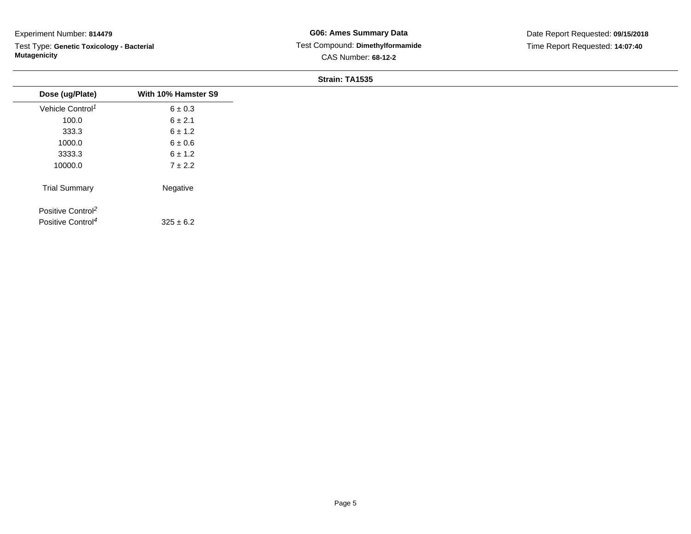Test Type: **Genetic Toxicology - Bacterial Mutagenicity**

| $6 \pm 0.3$<br>6 ± 2.1<br>$6 \pm 1.2$<br>$6\pm0.6$<br>$6 \pm 1.2$<br>$7 \pm 2.2$ |
|----------------------------------------------------------------------------------|
|                                                                                  |
|                                                                                  |
|                                                                                  |
|                                                                                  |
|                                                                                  |
|                                                                                  |
| Negative                                                                         |
|                                                                                  |
| $325 \pm 6.2$                                                                    |
|                                                                                  |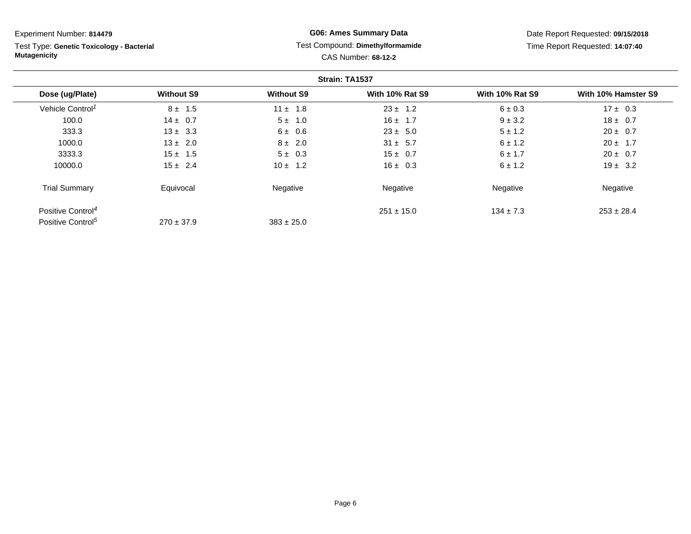Test Type: **Genetic Toxicology - Bacterial Mutagenicity**

# **G06: Ames Summary Data** Test Compound: **Dimethylformamide**CAS Number: **68-12-2**

Date Report Requested: **09/15/2018**Time Report Requested: **14:07:40**

|                               |                   |                   | Strain: TA1537         |                        |                     |
|-------------------------------|-------------------|-------------------|------------------------|------------------------|---------------------|
| Dose (ug/Plate)               | <b>Without S9</b> | <b>Without S9</b> | <b>With 10% Rat S9</b> | <b>With 10% Rat S9</b> | With 10% Hamster S9 |
| Vehicle Control <sup>1</sup>  | $8 \pm 1.5$       | $11 \pm 1.8$      | $23 \pm 1.2$           | $6 \pm 0.3$            | $17 \pm 0.3$        |
| 100.0                         | $14 \pm 0.7$      | $5 \pm 1.0$       | $16 \pm 1.7$           | $9 \pm 3.2$            | $18 \pm 0.7$        |
| 333.3                         | $13 \pm 3.3$      | 6 ± 0.6           | $23 \pm 5.0$           | $5 \pm 1.2$            | $20 \pm 0.7$        |
| 1000.0                        | $13 \pm 2.0$      | $8 \pm 2.0$       | $31 \pm 5.7$           | $6 \pm 1.2$            | $20 \pm 1.7$        |
| 3333.3                        | $15 \pm 1.5$      | $5 \pm 0.3$       | $15 \pm 0.7$           | $6 \pm 1.7$            | $20 \pm 0.7$        |
| 10000.0                       | $15 \pm 2.4$      | $10 \pm 1.2$      | $16 \pm 0.3$           | $6 \pm 1.2$            | $19 \pm 3.2$        |
| <b>Trial Summary</b>          | Equivocal         | Negative          | Negative               | Negative               | Negative            |
| Positive Control <sup>4</sup> |                   |                   | $251 \pm 15.0$         | $134 \pm 7.3$          | $253 \pm 28.4$      |
| Positive Control <sup>5</sup> | $270 \pm 37.9$    | $383 \pm 25.0$    |                        |                        |                     |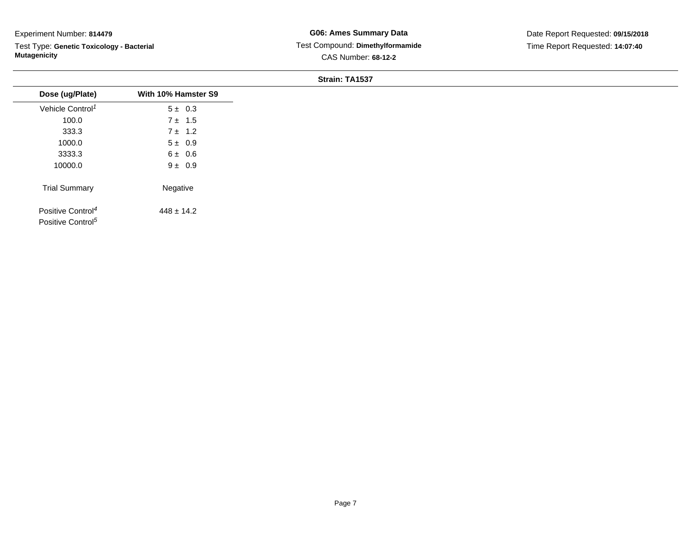Test Type: **Genetic Toxicology - Bacterial Mutagenicity**

| Dose (ug/Plate)                                                | With 10% Hamster S9 |
|----------------------------------------------------------------|---------------------|
| Vehicle Control <sup>1</sup>                                   | $5 \pm 0.3$         |
| 100.0                                                          | $7 \pm 1.5$         |
| 333.3                                                          | $7 \pm 1.2$         |
| 1000.0                                                         | $5 \pm 0.9$         |
| 3333.3                                                         | 6 ± 0.6             |
| 10000.0                                                        | $9 \pm 0.9$         |
| <b>Trial Summary</b>                                           | Negative            |
| Positive Control <sup>4</sup><br>Positive Control <sup>5</sup> | $448 \pm 14.2$      |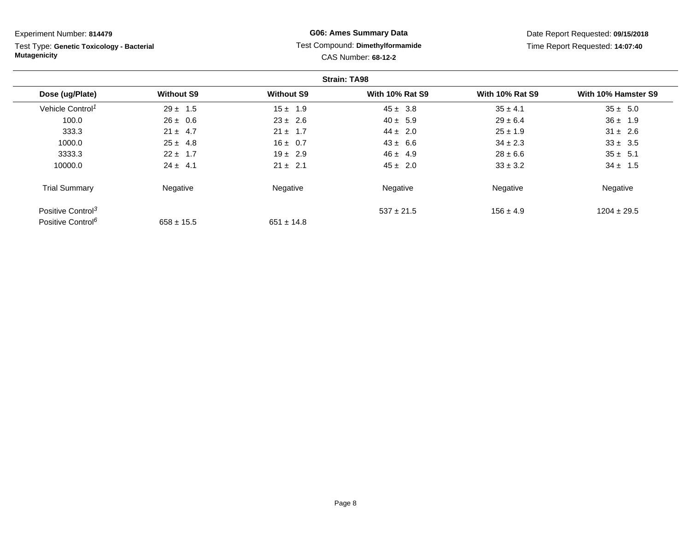Test Type: **Genetic Toxicology - Bacterial Mutagenicity**

# **G06: Ames Summary Data** Test Compound: **Dimethylformamide**CAS Number: **68-12-2**

Date Report Requested: **09/15/2018**Time Report Requested: **14:07:40**

|                               |                   |                   | <b>Strain: TA98</b>    |                        |                     |
|-------------------------------|-------------------|-------------------|------------------------|------------------------|---------------------|
| Dose (ug/Plate)               | <b>Without S9</b> | <b>Without S9</b> | <b>With 10% Rat S9</b> | <b>With 10% Rat S9</b> | With 10% Hamster S9 |
| Vehicle Control <sup>1</sup>  | $29 \pm 1.5$      | $15 \pm 1.9$      | $45 \pm 3.8$           | $35 \pm 4.1$           | $35 \pm 5.0$        |
| 100.0                         | $26 \pm 0.6$      | $23 \pm 2.6$      | $40 \pm 5.9$           | $29 \pm 6.4$           | $36 \pm 1.9$        |
| 333.3                         | $21 \pm 4.7$      | $21 \pm 1.7$      | $44 \pm 2.0$           | $25 \pm 1.9$           | $31 \pm 2.6$        |
| 1000.0                        | $25 \pm 4.8$      | $16 \pm 0.7$      | $43 \pm 6.6$           | $34 \pm 2.3$           | $33 \pm 3.5$        |
| 3333.3                        | $22 \pm 1.7$      | $19 \pm 2.9$      | $46 \pm 4.9$           | $28 \pm 6.6$           | $35 \pm 5.1$        |
| 10000.0                       | $24 \pm 4.1$      | $21 \pm 2.1$      | $45 \pm 2.0$           | $33 \pm 3.2$           | $34 \pm 1.5$        |
| <b>Trial Summary</b>          | Negative          | Negative          | Negative               | Negative               | Negative            |
| Positive Control <sup>3</sup> |                   |                   | $537 \pm 21.5$         | $156 \pm 4.9$          | $1204 \pm 29.5$     |
| Positive Control <sup>6</sup> | $658 \pm 15.5$    | $651 \pm 14.8$    |                        |                        |                     |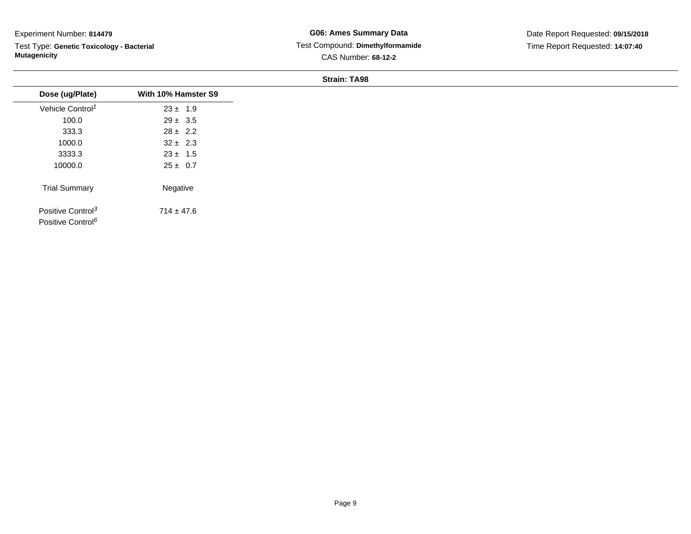Test Type: **Genetic Toxicology - Bacterial Mutagenicity**

| Dose (ug/Plate)               | With 10% Hamster S9 |
|-------------------------------|---------------------|
| Vehicle Control <sup>1</sup>  | $23 \pm 1.9$        |
| 100.0                         | $29 \pm 3.5$        |
| 333.3                         | $28 \pm 2.2$        |
| 1000.0                        | $32 \pm 2.3$        |
| 3333.3                        | $23 \pm 1.5$        |
| 10000.0                       | $25 \pm 0.7$        |
| <b>Trial Summary</b>          | Negative            |
| Positive Control <sup>3</sup> | $714 \pm 47.6$      |
| Positive Control <sup>6</sup> |                     |